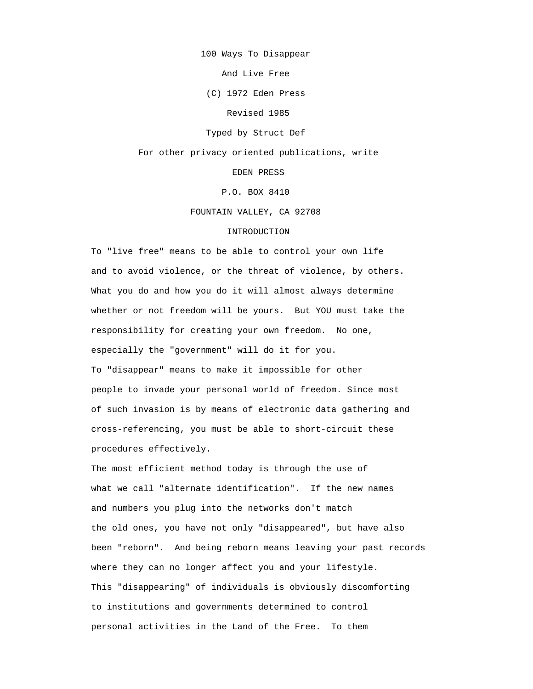100 Ways To Disappear

And Live Free

(C) 1972 Eden Press

Revised 1985

Typed by Struct Def

For other privacy oriented publications, write

## EDEN PRESS

P.O. BOX 8410

FOUNTAIN VALLEY, CA 92708

## INTRODUCTION

 To "live free" means to be able to control your own life and to avoid violence, or the threat of violence, by others. What you do and how you do it will almost always determine whether or not freedom will be yours. But YOU must take the responsibility for creating your own freedom. No one, especially the "government" will do it for you. To "disappear" means to make it impossible for other people to invade your personal world of freedom. Since most of such invasion is by means of electronic data gathering and cross-referencing, you must be able to short-circuit these

procedures effectively.

 The most efficient method today is through the use of what we call "alternate identification". If the new names and numbers you plug into the networks don't match the old ones, you have not only "disappeared", but have also been "reborn". And being reborn means leaving your past records where they can no longer affect you and your lifestyle. This "disappearing" of individuals is obviously discomforting to institutions and governments determined to control personal activities in the Land of the Free. To them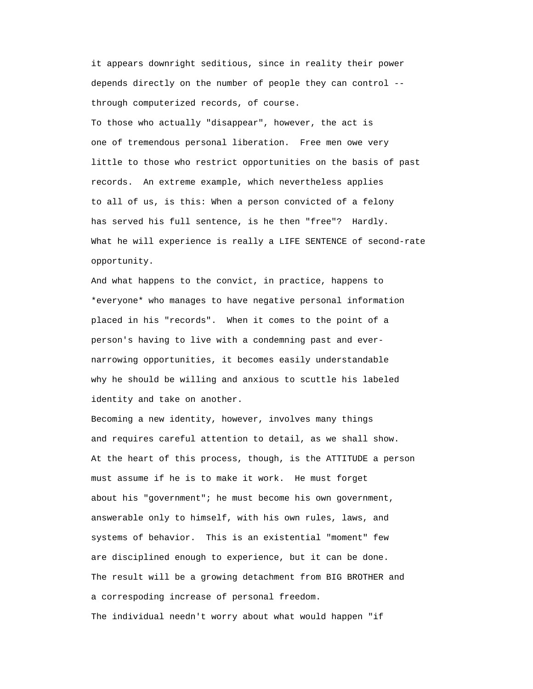it appears downright seditious, since in reality their power depends directly on the number of people they can control - through computerized records, of course. To those who actually "disappear", however, the act is one of tremendous personal liberation. Free men owe very little to those who restrict opportunities on the basis of past records. An extreme example, which nevertheless applies to all of us, is this: When a person convicted of a felony has served his full sentence, is he then "free"? Hardly. What he will experience is really a LIFE SENTENCE of second-rate opportunity.

 And what happens to the convict, in practice, happens to \*everyone\* who manages to have negative personal information placed in his "records". When it comes to the point of a person's having to live with a condemning past and ever narrowing opportunities, it becomes easily understandable why he should be willing and anxious to scuttle his labeled identity and take on another.

 Becoming a new identity, however, involves many things and requires careful attention to detail, as we shall show. At the heart of this process, though, is the ATTITUDE a person must assume if he is to make it work. He must forget about his "government"; he must become his own government, answerable only to himself, with his own rules, laws, and systems of behavior. This is an existential "moment" few are disciplined enough to experience, but it can be done. The result will be a growing detachment from BIG BROTHER and a correspoding increase of personal freedom. The individual needn't worry about what would happen "if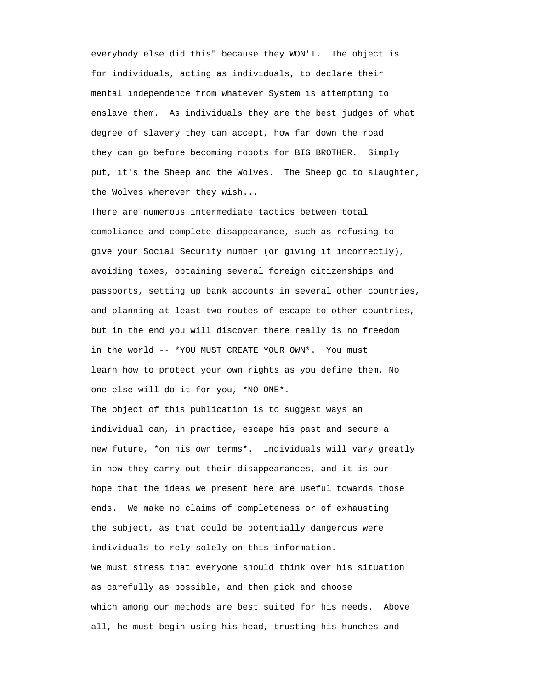everybody else did this" because they WON'T. The object is for individuals, acting as individuals, to declare their mental independence from whatever System is attempting to enslave them. As individuals they are the best judges of what degree of slavery they can accept, how far down the road they can go before becoming robots for BIG BROTHER. Simply put, it's the Sheep and the Wolves. The Sheep go to slaughter, the Wolves wherever they wish...

 There are numerous intermediate tactics between total compliance and complete disappearance, such as refusing to give your Social Security number (or giving it incorrectly), avoiding taxes, obtaining several foreign citizenships and passports, setting up bank accounts in several other countries, and planning at least two routes of escape to other countries, but in the end you will discover there really is no freedom in the world -- \*YOU MUST CREATE YOUR OWN\*. You must learn how to protect your own rights as you define them. No one else will do it for you, \*NO ONE\*.

 The object of this publication is to suggest ways an individual can, in practice, escape his past and secure a new future, \*on his own terms\*. Individuals will vary greatly in how they carry out their disappearances, and it is our hope that the ideas we present here are useful towards those ends. We make no claims of completeness or of exhausting the subject, as that could be potentially dangerous were individuals to rely solely on this information. We must stress that everyone should think over his situation as carefully as possible, and then pick and choose which among our methods are best suited for his needs. Above all, he must begin using his head, trusting his hunches and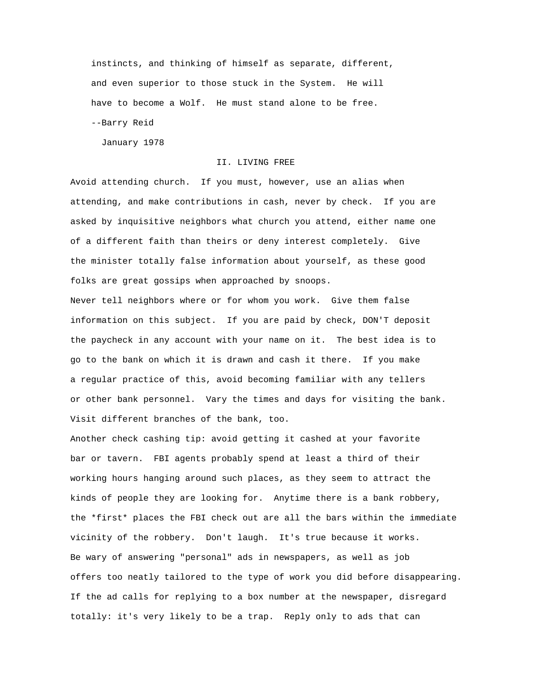instincts, and thinking of himself as separate, different, and even superior to those stuck in the System. He will have to become a Wolf. He must stand alone to be free.

--Barry Reid

January 1978

## II. LIVING FREE

 Avoid attending church. If you must, however, use an alias when attending, and make contributions in cash, never by check. If you are asked by inquisitive neighbors what church you attend, either name one of a different faith than theirs or deny interest completely. Give the minister totally false information about yourself, as these good folks are great gossips when approached by snoops.

 Never tell neighbors where or for whom you work. Give them false information on this subject. If you are paid by check, DON'T deposit the paycheck in any account with your name on it. The best idea is to go to the bank on which it is drawn and cash it there. If you make a regular practice of this, avoid becoming familiar with any tellers or other bank personnel. Vary the times and days for visiting the bank. Visit different branches of the bank, too.

 Another check cashing tip: avoid getting it cashed at your favorite bar or tavern. FBI agents probably spend at least a third of their working hours hanging around such places, as they seem to attract the kinds of people they are looking for. Anytime there is a bank robbery, the \*first\* places the FBI check out are all the bars within the immediate vicinity of the robbery. Don't laugh. It's true because it works. Be wary of answering "personal" ads in newspapers, as well as job offers too neatly tailored to the type of work you did before disappearing. If the ad calls for replying to a box number at the newspaper, disregard totally: it's very likely to be a trap. Reply only to ads that can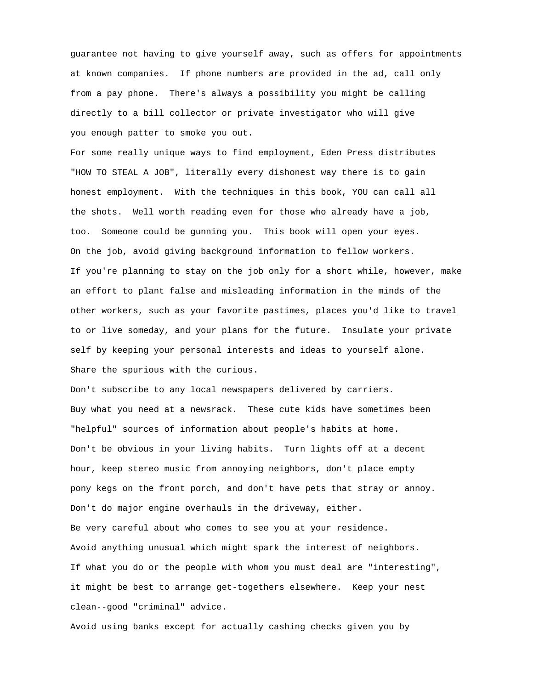guarantee not having to give yourself away, such as offers for appointments at known companies. If phone numbers are provided in the ad, call only from a pay phone. There's always a possibility you might be calling directly to a bill collector or private investigator who will give you enough patter to smoke you out.

 For some really unique ways to find employment, Eden Press distributes "HOW TO STEAL A JOB", literally every dishonest way there is to gain honest employment. With the techniques in this book, YOU can call all the shots. Well worth reading even for those who already have a job, too. Someone could be gunning you. This book will open your eyes. On the job, avoid giving background information to fellow workers. If you're planning to stay on the job only for a short while, however, make an effort to plant false and misleading information in the minds of the other workers, such as your favorite pastimes, places you'd like to travel to or live someday, and your plans for the future. Insulate your private self by keeping your personal interests and ideas to yourself alone. Share the spurious with the curious.

 Don't subscribe to any local newspapers delivered by carriers. Buy what you need at a newsrack. These cute kids have sometimes been "helpful" sources of information about people's habits at home. Don't be obvious in your living habits. Turn lights off at a decent hour, keep stereo music from annoying neighbors, don't place empty pony kegs on the front porch, and don't have pets that stray or annoy. Don't do major engine overhauls in the driveway, either. Be very careful about who comes to see you at your residence. Avoid anything unusual which might spark the interest of neighbors. If what you do or the people with whom you must deal are "interesting", it might be best to arrange get-togethers elsewhere. Keep your nest clean--good "criminal" advice.

Avoid using banks except for actually cashing checks given you by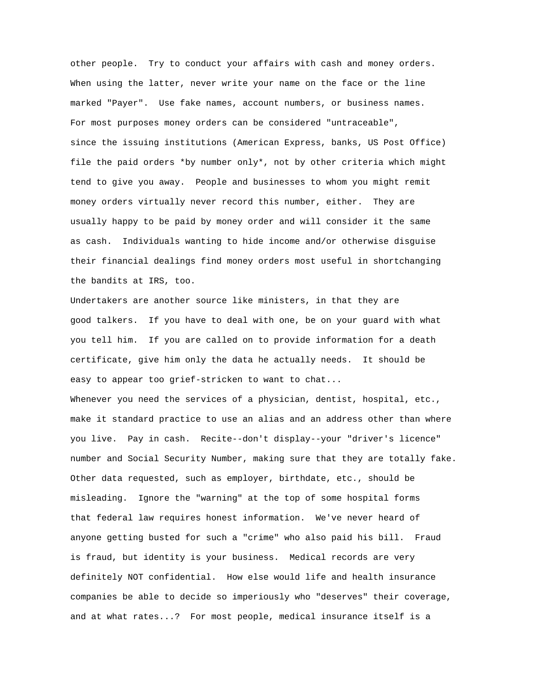other people. Try to conduct your affairs with cash and money orders. When using the latter, never write your name on the face or the line marked "Payer". Use fake names, account numbers, or business names. For most purposes money orders can be considered "untraceable", since the issuing institutions (American Express, banks, US Post Office) file the paid orders \*by number only\*, not by other criteria which might tend to give you away. People and businesses to whom you might remit money orders virtually never record this number, either. They are usually happy to be paid by money order and will consider it the same as cash. Individuals wanting to hide income and/or otherwise disguise their financial dealings find money orders most useful in shortchanging the bandits at IRS, too.

 Undertakers are another source like ministers, in that they are good talkers. If you have to deal with one, be on your guard with what you tell him. If you are called on to provide information for a death certificate, give him only the data he actually needs. It should be easy to appear too grief-stricken to want to chat...

Whenever you need the services of a physician, dentist, hospital, etc., make it standard practice to use an alias and an address other than where you live. Pay in cash. Recite--don't display--your "driver's licence" number and Social Security Number, making sure that they are totally fake. Other data requested, such as employer, birthdate, etc., should be misleading. Ignore the "warning" at the top of some hospital forms that federal law requires honest information. We've never heard of anyone getting busted for such a "crime" who also paid his bill. Fraud is fraud, but identity is your business. Medical records are very definitely NOT confidential. How else would life and health insurance companies be able to decide so imperiously who "deserves" their coverage, and at what rates...? For most people, medical insurance itself is a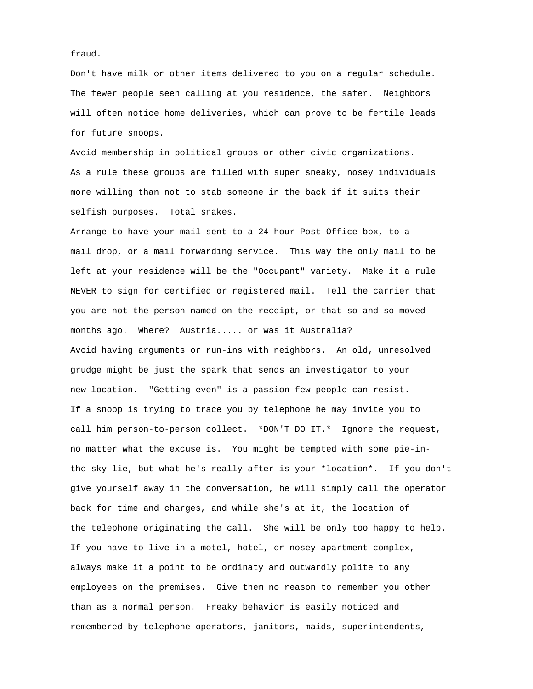## fraud.

 Don't have milk or other items delivered to you on a regular schedule. The fewer people seen calling at you residence, the safer. Neighbors will often notice home deliveries, which can prove to be fertile leads for future snoops.

 Avoid membership in political groups or other civic organizations. As a rule these groups are filled with super sneaky, nosey individuals more willing than not to stab someone in the back if it suits their selfish purposes. Total snakes.

 Arrange to have your mail sent to a 24-hour Post Office box, to a mail drop, or a mail forwarding service. This way the only mail to be left at your residence will be the "Occupant" variety. Make it a rule NEVER to sign for certified or registered mail. Tell the carrier that you are not the person named on the receipt, or that so-and-so moved months ago. Where? Austria..... or was it Australia? Avoid having arguments or run-ins with neighbors. An old, unresolved grudge might be just the spark that sends an investigator to your new location. "Getting even" is a passion few people can resist. If a snoop is trying to trace you by telephone he may invite you to call him person-to-person collect. \*DON'T DO IT.\* Ignore the request, no matter what the excuse is. You might be tempted with some pie-in the-sky lie, but what he's really after is your \*location\*. If you don't give yourself away in the conversation, he will simply call the operator back for time and charges, and while she's at it, the location of the telephone originating the call. She will be only too happy to help. If you have to live in a motel, hotel, or nosey apartment complex, always make it a point to be ordinaty and outwardly polite to any employees on the premises. Give them no reason to remember you other than as a normal person. Freaky behavior is easily noticed and remembered by telephone operators, janitors, maids, superintendents,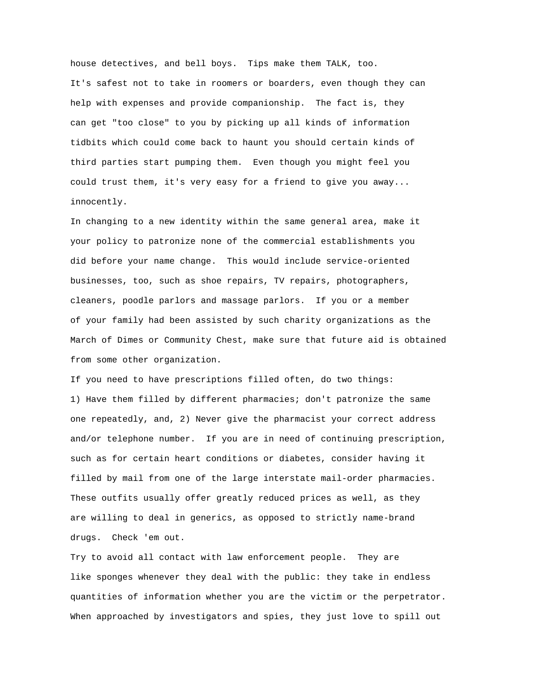house detectives, and bell boys. Tips make them TALK, too. It's safest not to take in roomers or boarders, even though they can help with expenses and provide companionship. The fact is, they can get "too close" to you by picking up all kinds of information tidbits which could come back to haunt you should certain kinds of third parties start pumping them. Even though you might feel you could trust them, it's very easy for a friend to give you away... innocently.

 In changing to a new identity within the same general area, make it your policy to patronize none of the commercial establishments you did before your name change. This would include service-oriented businesses, too, such as shoe repairs, TV repairs, photographers, cleaners, poodle parlors and massage parlors. If you or a member of your family had been assisted by such charity organizations as the March of Dimes or Community Chest, make sure that future aid is obtained from some other organization.

 If you need to have prescriptions filled often, do two things: 1) Have them filled by different pharmacies; don't patronize the same one repeatedly, and, 2) Never give the pharmacist your correct address and/or telephone number. If you are in need of continuing prescription, such as for certain heart conditions or diabetes, consider having it filled by mail from one of the large interstate mail-order pharmacies. These outfits usually offer greatly reduced prices as well, as they are willing to deal in generics, as opposed to strictly name-brand drugs. Check 'em out.

 Try to avoid all contact with law enforcement people. They are like sponges whenever they deal with the public: they take in endless quantities of information whether you are the victim or the perpetrator. When approached by investigators and spies, they just love to spill out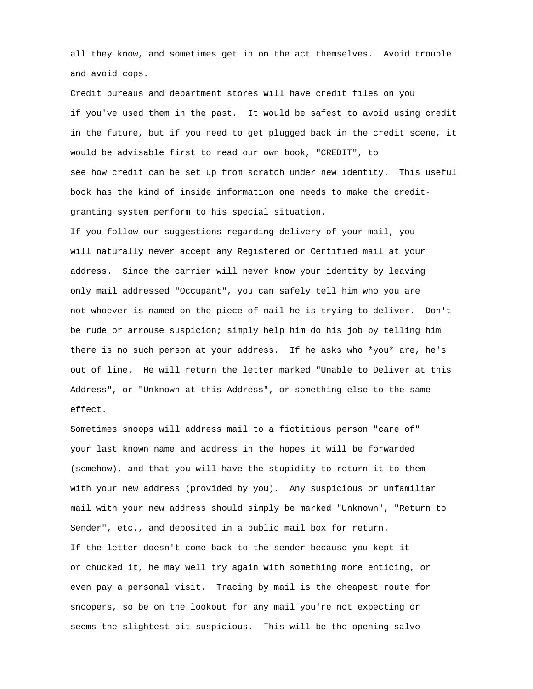all they know, and sometimes get in on the act themselves. Avoid trouble and avoid cops.

 Credit bureaus and department stores will have credit files on you if you've used them in the past. It would be safest to avoid using credit in the future, but if you need to get plugged back in the credit scene, it would be advisable first to read our own book, "CREDIT", to see how credit can be set up from scratch under new identity. This useful book has the kind of inside information one needs to make the credit granting system perform to his special situation.

 If you follow our suggestions regarding delivery of your mail, you will naturally never accept any Registered or Certified mail at your address. Since the carrier will never know your identity by leaving only mail addressed "Occupant", you can safely tell him who you are not whoever is named on the piece of mail he is trying to deliver. Don't be rude or arrouse suspicion; simply help him do his job by telling him there is no such person at your address. If he asks who \*you\* are, he's out of line. He will return the letter marked "Unable to Deliver at this Address", or "Unknown at this Address", or something else to the same effect.

 Sometimes snoops will address mail to a fictitious person "care of" your last known name and address in the hopes it will be forwarded (somehow), and that you will have the stupidity to return it to them with your new address (provided by you). Any suspicious or unfamiliar mail with your new address should simply be marked "Unknown", "Return to Sender", etc., and deposited in a public mail box for return. If the letter doesn't come back to the sender because you kept it or chucked it, he may well try again with something more enticing, or even pay a personal visit. Tracing by mail is the cheapest route for snoopers, so be on the lookout for any mail you're not expecting or seems the slightest bit suspicious. This will be the opening salvo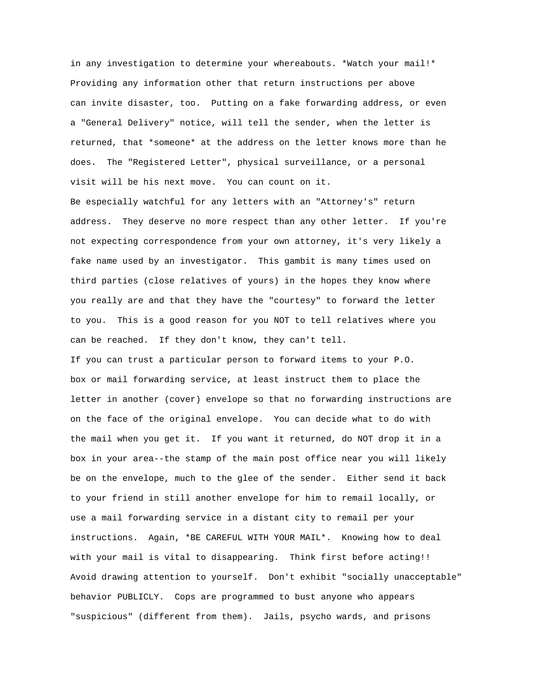in any investigation to determine your whereabouts. \*Watch your mail!\* Providing any information other that return instructions per above can invite disaster, too. Putting on a fake forwarding address, or even a "General Delivery" notice, will tell the sender, when the letter is returned, that \*someone\* at the address on the letter knows more than he does. The "Registered Letter", physical surveillance, or a personal visit will be his next move. You can count on it.

 Be especially watchful for any letters with an "Attorney's" return address. They deserve no more respect than any other letter. If you're not expecting correspondence from your own attorney, it's very likely a fake name used by an investigator. This gambit is many times used on third parties (close relatives of yours) in the hopes they know where you really are and that they have the "courtesy" to forward the letter to you. This is a good reason for you NOT to tell relatives where you can be reached. If they don't know, they can't tell.

 If you can trust a particular person to forward items to your P.O. box or mail forwarding service, at least instruct them to place the letter in another (cover) envelope so that no forwarding instructions are on the face of the original envelope. You can decide what to do with the mail when you get it. If you want it returned, do NOT drop it in a box in your area--the stamp of the main post office near you will likely be on the envelope, much to the glee of the sender. Either send it back to your friend in still another envelope for him to remail locally, or use a mail forwarding service in a distant city to remail per your instructions. Again, \*BE CAREFUL WITH YOUR MAIL\*. Knowing how to deal with your mail is vital to disappearing. Think first before acting!! Avoid drawing attention to yourself. Don't exhibit "socially unacceptable" behavior PUBLICLY. Cops are programmed to bust anyone who appears "suspicious" (different from them). Jails, psycho wards, and prisons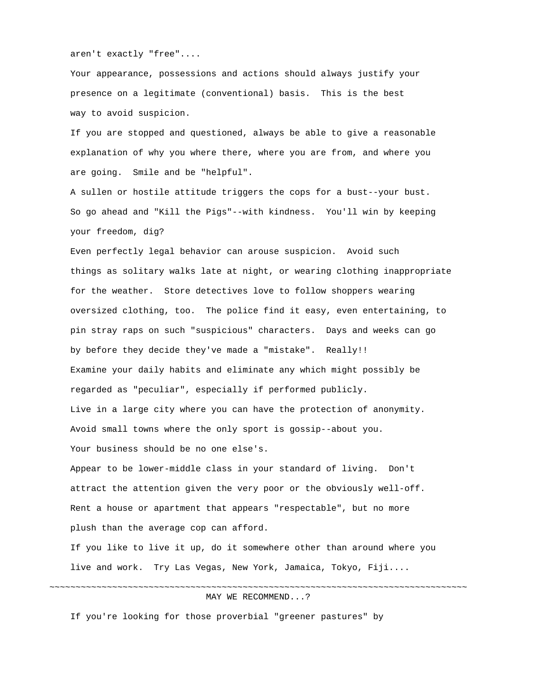aren't exactly "free"....

 Your appearance, possessions and actions should always justify your presence on a legitimate (conventional) basis. This is the best way to avoid suspicion.

 If you are stopped and questioned, always be able to give a reasonable explanation of why you where there, where you are from, and where you are going. Smile and be "helpful".

 A sullen or hostile attitude triggers the cops for a bust--your bust. So go ahead and "Kill the Pigs"--with kindness. You'll win by keeping your freedom, dig?

 Even perfectly legal behavior can arouse suspicion. Avoid such things as solitary walks late at night, or wearing clothing inappropriate for the weather. Store detectives love to follow shoppers wearing oversized clothing, too. The police find it easy, even entertaining, to pin stray raps on such "suspicious" characters. Days and weeks can go by before they decide they've made a "mistake". Really!! Examine your daily habits and eliminate any which might possibly be regarded as "peculiar", especially if performed publicly. Live in a large city where you can have the protection of anonymity. Avoid small towns where the only sport is gossip--about you.

Your business should be no one else's.

 Appear to be lower-middle class in your standard of living. Don't attract the attention given the very poor or the obviously well-off. Rent a house or apartment that appears "respectable", but no more plush than the average cop can afford.

 If you like to live it up, do it somewhere other than around where you live and work. Try Las Vegas, New York, Jamaica, Tokyo, Fiji....

MAY WE RECOMMEND...?

~~~~~~~~~~~~~~~~~~~~~~~~~~~~~~~~~~~~~~~~~~~~~~~~~~~~~~~~~~~~~~~~~~~~~~~~~~~~~~~~

If you're looking for those proverbial "greener pastures" by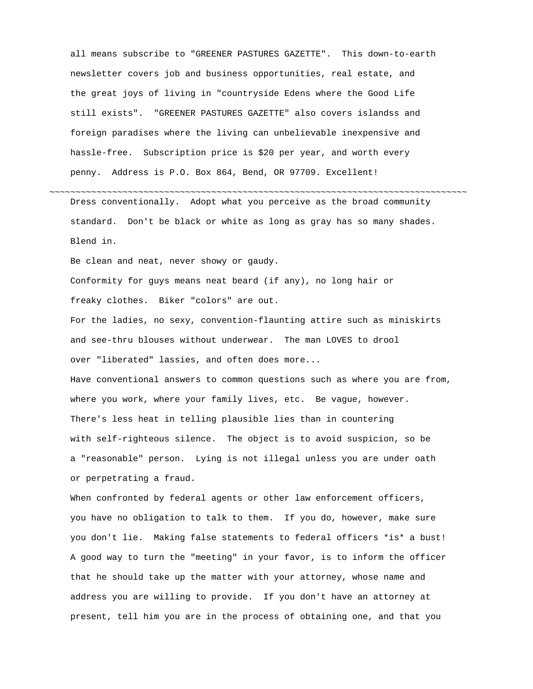all means subscribe to "GREENER PASTURES GAZETTE". This down-to-earth newsletter covers job and business opportunities, real estate, and the great joys of living in "countryside Edens where the Good Life still exists". "GREENER PASTURES GAZETTE" also covers islandss and foreign paradises where the living can unbelievable inexpensive and hassle-free. Subscription price is \$20 per year, and worth every penny. Address is P.O. Box 864, Bend, OR 97709. Excellent!

 Dress conventionally. Adopt what you perceive as the broad community standard. Don't be black or white as long as gray has so many shades. Blend in.

~~~~~~~~~~~~~~~~~~~~~~~~~~~~~~~~~~~~~~~~~~~~~~~~~~~~~~~~~~~~~~~~~~~~~~~~~~~~~~~~

Be clean and neat, never showy or gaudy.

 Conformity for guys means neat beard (if any), no long hair or freaky clothes. Biker "colors" are out.

 For the ladies, no sexy, convention-flaunting attire such as miniskirts and see-thru blouses without underwear. The man LOVES to drool over "liberated" lassies, and often does more... Have conventional answers to common questions such as where you are from, where you work, where your family lives, etc. Be vague, however. There's less heat in telling plausible lies than in countering with self-righteous silence. The object is to avoid suspicion, so be a "reasonable" person. Lying is not illegal unless you are under oath or perpetrating a fraud.

 When confronted by federal agents or other law enforcement officers, you have no obligation to talk to them. If you do, however, make sure you don't lie. Making false statements to federal officers \*is\* a bust! A good way to turn the "meeting" in your favor, is to inform the officer that he should take up the matter with your attorney, whose name and address you are willing to provide. If you don't have an attorney at present, tell him you are in the process of obtaining one, and that you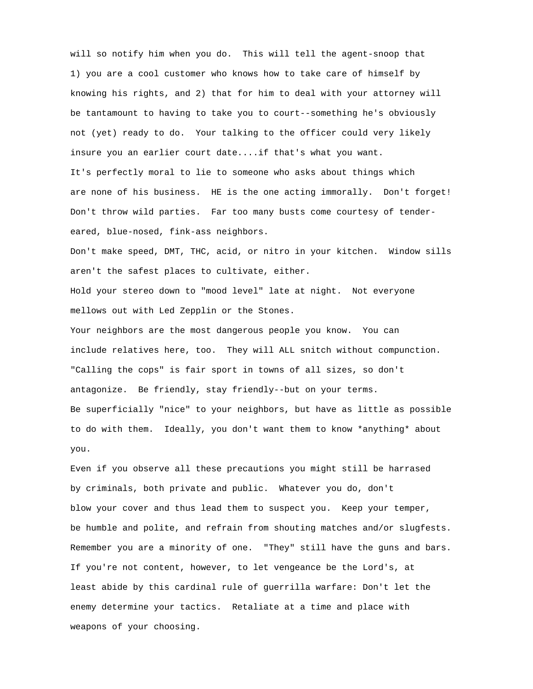will so notify him when you do. This will tell the agent-snoop that 1) you are a cool customer who knows how to take care of himself by knowing his rights, and 2) that for him to deal with your attorney will be tantamount to having to take you to court--something he's obviously not (yet) ready to do. Your talking to the officer could very likely insure you an earlier court date....if that's what you want. It's perfectly moral to lie to someone who asks about things which are none of his business. HE is the one acting immorally. Don't forget! Don't throw wild parties. Far too many busts come courtesy of tender eared, blue-nosed, fink-ass neighbors.

 Don't make speed, DMT, THC, acid, or nitro in your kitchen. Window sills aren't the safest places to cultivate, either.

 Hold your stereo down to "mood level" late at night. Not everyone mellows out with Led Zepplin or the Stones.

 Your neighbors are the most dangerous people you know. You can include relatives here, too. They will ALL snitch without compunction. "Calling the cops" is fair sport in towns of all sizes, so don't antagonize. Be friendly, stay friendly--but on your terms. Be superficially "nice" to your neighbors, but have as little as possible to do with them. Ideally, you don't want them to know \*anything\* about you.

 Even if you observe all these precautions you might still be harrased by criminals, both private and public. Whatever you do, don't blow your cover and thus lead them to suspect you. Keep your temper, be humble and polite, and refrain from shouting matches and/or slugfests. Remember you are a minority of one. "They" still have the guns and bars. If you're not content, however, to let vengeance be the Lord's, at least abide by this cardinal rule of guerrilla warfare: Don't let the enemy determine your tactics. Retaliate at a time and place with weapons of your choosing.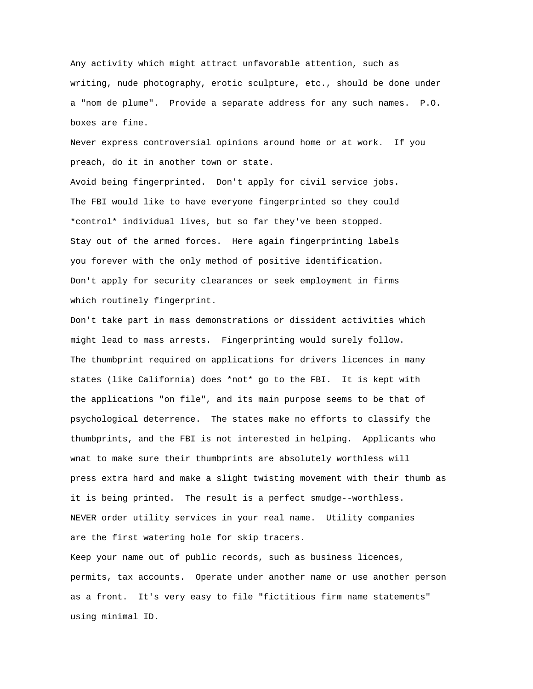Any activity which might attract unfavorable attention, such as writing, nude photography, erotic sculpture, etc., should be done under a "nom de plume". Provide a separate address for any such names. P.O. boxes are fine.

 Never express controversial opinions around home or at work. If you preach, do it in another town or state.

 Avoid being fingerprinted. Don't apply for civil service jobs. The FBI would like to have everyone fingerprinted so they could \*control\* individual lives, but so far they've been stopped. Stay out of the armed forces. Here again fingerprinting labels you forever with the only method of positive identification. Don't apply for security clearances or seek employment in firms which routinely fingerprint.

 Don't take part in mass demonstrations or dissident activities which might lead to mass arrests. Fingerprinting would surely follow. The thumbprint required on applications for drivers licences in many states (like California) does \*not\* go to the FBI. It is kept with the applications "on file", and its main purpose seems to be that of psychological deterrence. The states make no efforts to classify the thumbprints, and the FBI is not interested in helping. Applicants who wnat to make sure their thumbprints are absolutely worthless will press extra hard and make a slight twisting movement with their thumb as it is being printed. The result is a perfect smudge--worthless. NEVER order utility services in your real name. Utility companies are the first watering hole for skip tracers.

 Keep your name out of public records, such as business licences, permits, tax accounts. Operate under another name or use another person as a front. It's very easy to file "fictitious firm name statements" using minimal ID.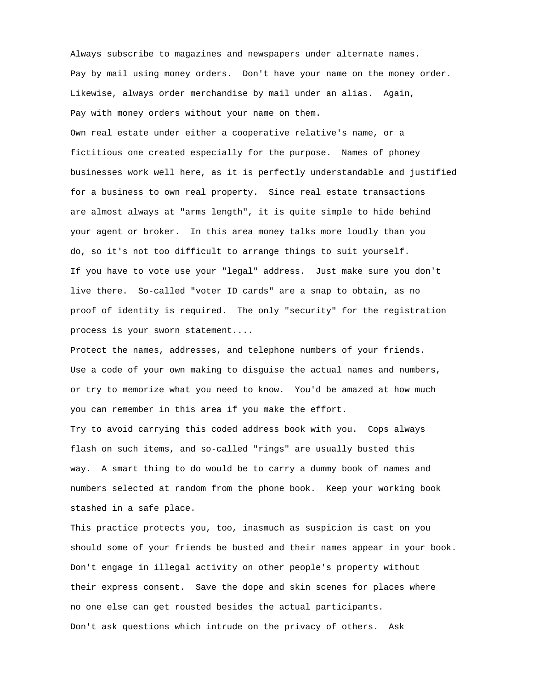Always subscribe to magazines and newspapers under alternate names. Pay by mail using money orders. Don't have your name on the money order. Likewise, always order merchandise by mail under an alias. Again, Pay with money orders without your name on them.

 Own real estate under either a cooperative relative's name, or a fictitious one created especially for the purpose. Names of phoney businesses work well here, as it is perfectly understandable and justified for a business to own real property. Since real estate transactions are almost always at "arms length", it is quite simple to hide behind your agent or broker. In this area money talks more loudly than you do, so it's not too difficult to arrange things to suit yourself. If you have to vote use your "legal" address. Just make sure you don't live there. So-called "voter ID cards" are a snap to obtain, as no proof of identity is required. The only "security" for the registration process is your sworn statement....

 Protect the names, addresses, and telephone numbers of your friends. Use a code of your own making to disguise the actual names and numbers, or try to memorize what you need to know. You'd be amazed at how much you can remember in this area if you make the effort.

 Try to avoid carrying this coded address book with you. Cops always flash on such items, and so-called "rings" are usually busted this way. A smart thing to do would be to carry a dummy book of names and numbers selected at random from the phone book. Keep your working book stashed in a safe place.

 This practice protects you, too, inasmuch as suspicion is cast on you should some of your friends be busted and their names appear in your book. Don't engage in illegal activity on other people's property without their express consent. Save the dope and skin scenes for places where no one else can get rousted besides the actual participants. Don't ask questions which intrude on the privacy of others. Ask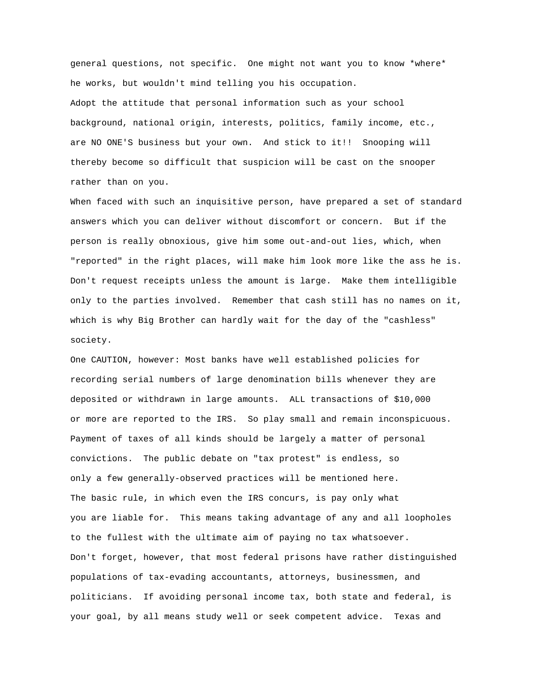general questions, not specific. One might not want you to know \*where\* he works, but wouldn't mind telling you his occupation. Adopt the attitude that personal information such as your school background, national origin, interests, politics, family income, etc., are NO ONE'S business but your own. And stick to it!! Snooping will thereby become so difficult that suspicion will be cast on the snooper rather than on you.

 When faced with such an inquisitive person, have prepared a set of standard answers which you can deliver without discomfort or concern. But if the person is really obnoxious, give him some out-and-out lies, which, when "reported" in the right places, will make him look more like the ass he is. Don't request receipts unless the amount is large. Make them intelligible only to the parties involved. Remember that cash still has no names on it, which is why Big Brother can hardly wait for the day of the "cashless" society.

 One CAUTION, however: Most banks have well established policies for recording serial numbers of large denomination bills whenever they are deposited or withdrawn in large amounts. ALL transactions of \$10,000 or more are reported to the IRS. So play small and remain inconspicuous. Payment of taxes of all kinds should be largely a matter of personal convictions. The public debate on "tax protest" is endless, so only a few generally-observed practices will be mentioned here. The basic rule, in which even the IRS concurs, is pay only what you are liable for. This means taking advantage of any and all loopholes to the fullest with the ultimate aim of paying no tax whatsoever. Don't forget, however, that most federal prisons have rather distinguished populations of tax-evading accountants, attorneys, businessmen, and politicians. If avoiding personal income tax, both state and federal, is your goal, by all means study well or seek competent advice. Texas and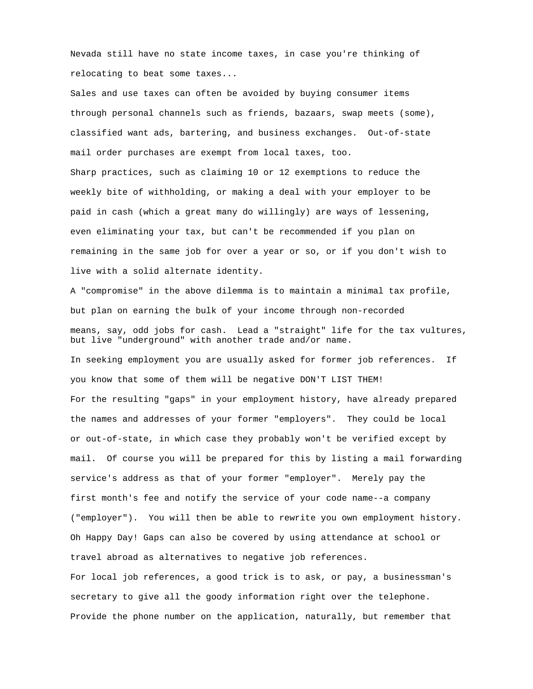Nevada still have no state income taxes, in case you're thinking of relocating to beat some taxes...

 Sales and use taxes can often be avoided by buying consumer items through personal channels such as friends, bazaars, swap meets (some), classified want ads, bartering, and business exchanges. Out-of-state mail order purchases are exempt from local taxes, too. Sharp practices, such as claiming 10 or 12 exemptions to reduce the weekly bite of withholding, or making a deal with your employer to be paid in cash (which a great many do willingly) are ways of lessening, even eliminating your tax, but can't be recommended if you plan on remaining in the same job for over a year or so, or if you don't wish to live with a solid alternate identity.

 A "compromise" in the above dilemma is to maintain a minimal tax profile, but plan on earning the bulk of your income through non-recorded means, say, odd jobs for cash. Lead a "straight" life for the tax vultures, but live "underground" with another trade and/or name. In seeking employment you are usually asked for former job references. If you know that some of them will be negative DON'T LIST THEM! For the resulting "gaps" in your employment history, have already prepared the names and addresses of your former "employers". They could be local or out-of-state, in which case they probably won't be verified except by mail. Of course you will be prepared for this by listing a mail forwarding service's address as that of your former "employer". Merely pay the first month's fee and notify the service of your code name--a company ("employer"). You will then be able to rewrite you own employment history. Oh Happy Day! Gaps can also be covered by using attendance at school or travel abroad as alternatives to negative job references. For local job references, a good trick is to ask, or pay, a businessman's secretary to give all the goody information right over the telephone. Provide the phone number on the application, naturally, but remember that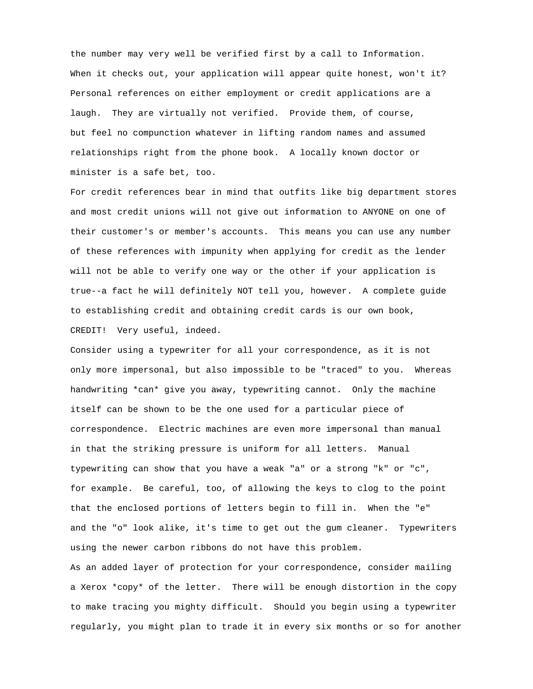the number may very well be verified first by a call to Information. When it checks out, your application will appear quite honest, won't it? Personal references on either employment or credit applications are a laugh. They are virtually not verified. Provide them, of course, but feel no compunction whatever in lifting random names and assumed relationships right from the phone book. A locally known doctor or minister is a safe bet, too.

 For credit references bear in mind that outfits like big department stores and most credit unions will not give out information to ANYONE on one of their customer's or member's accounts. This means you can use any number of these references with impunity when applying for credit as the lender will not be able to verify one way or the other if your application is true--a fact he will definitely NOT tell you, however. A complete guide to establishing credit and obtaining credit cards is our own book, CREDIT! Very useful, indeed.

 Consider using a typewriter for all your correspondence, as it is not only more impersonal, but also impossible to be "traced" to you. Whereas handwriting \*can\* give you away, typewriting cannot. Only the machine itself can be shown to be the one used for a particular piece of correspondence. Electric machines are even more impersonal than manual in that the striking pressure is uniform for all letters. Manual typewriting can show that you have a weak "a" or a strong "k" or "c", for example. Be careful, too, of allowing the keys to clog to the point that the enclosed portions of letters begin to fill in. When the "e" and the "o" look alike, it's time to get out the gum cleaner. Typewriters using the newer carbon ribbons do not have this problem. As an added layer of protection for your correspondence, consider mailing

 a Xerox \*copy\* of the letter. There will be enough distortion in the copy to make tracing you mighty difficult. Should you begin using a typewriter regularly, you might plan to trade it in every six months or so for another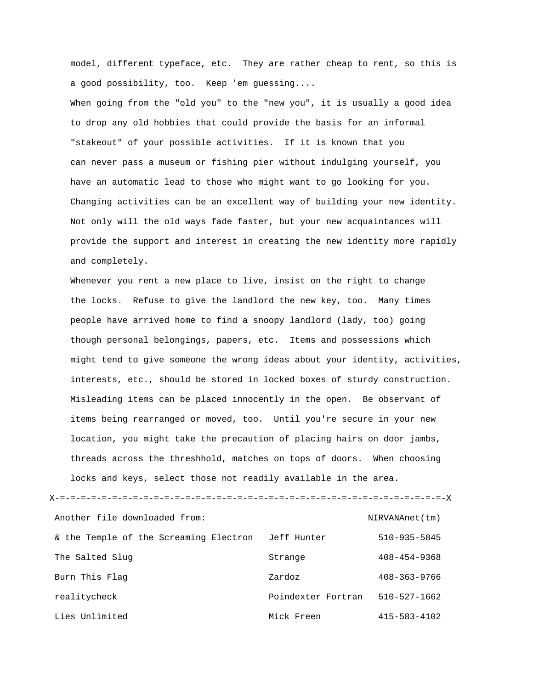model, different typeface, etc. They are rather cheap to rent, so this is a good possibility, too. Keep 'em guessing....

 When going from the "old you" to the "new you", it is usually a good idea to drop any old hobbies that could provide the basis for an informal "stakeout" of your possible activities. If it is known that you can never pass a museum or fishing pier without indulging yourself, you have an automatic lead to those who might want to go looking for you. Changing activities can be an excellent way of building your new identity. Not only will the old ways fade faster, but your new acquaintances will provide the support and interest in creating the new identity more rapidly and completely.

 Whenever you rent a new place to live, insist on the right to change the locks. Refuse to give the landlord the new key, too. Many times people have arrived home to find a snoopy landlord (lady, too) going though personal belongings, papers, etc. Items and possessions which might tend to give someone the wrong ideas about your identity, activities, interests, etc., should be stored in locked boxes of sturdy construction. Misleading items can be placed innocently in the open. Be observant of items being rearranged or moved, too. Until you're secure in your new location, you might take the precaution of placing hairs on door jambs, threads across the threshhold, matches on tops of doors. When choosing locks and keys, select those not readily available in the area.

X-=-=-=-=-=-=-=-=-=-=-=-=-=-=-=-=-=-=-=-=-=-=-=-=-=-=-=-=-=-=-=-=-=-=-=-=-=-X Another file downloaded from: NIRVANAnet(tm) & the Temple of the Screaming Electron Jeff Hunter 510-935-5845 The Salted Slug Strange 408-454-9368 Burn This Flag 2001 22 Million 2007 2010 22 Million 2008-008-2007 408-363-9766 realitycheck Poindexter Fortran 510-527-1662 Lies Unlimited The Mick Freen 415-583-4102